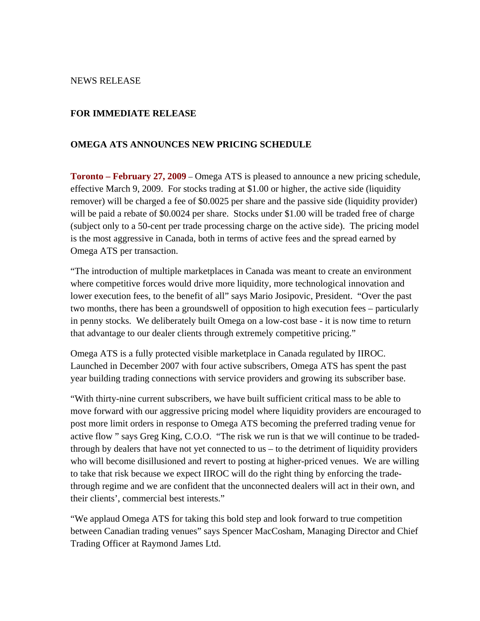#### NEWS RELEASE

### **FOR IMMEDIATE RELEASE**

### **OMEGA ATS ANNOUNCES NEW PRICING SCHEDULE**

**Toronto – February 27, 2009** – Omega ATS is pleased to announce a new pricing schedule, effective March 9, 2009. For stocks trading at \$1.00 or higher, the active side (liquidity remover) will be charged a fee of \$0.0025 per share and the passive side (liquidity provider) will be paid a rebate of \$0.0024 per share. Stocks under \$1.00 will be traded free of charge (subject only to a 50-cent per trade processing charge on the active side). The pricing model is the most aggressive in Canada, both in terms of active fees and the spread earned by Omega ATS per transaction.

"The introduction of multiple marketplaces in Canada was meant to create an environment where competitive forces would drive more liquidity, more technological innovation and lower execution fees, to the benefit of all" says Mario Josipovic, President. "Over the past two months, there has been a groundswell of opposition to high execution fees – particularly in penny stocks. We deliberately built Omega on a low-cost base - it is now time to return that advantage to our dealer clients through extremely competitive pricing."

Omega ATS is a fully protected visible marketplace in Canada regulated by IIROC. Launched in December 2007 with four active subscribers, Omega ATS has spent the past year building trading connections with service providers and growing its subscriber base.

"With thirty-nine current subscribers, we have built sufficient critical mass to be able to move forward with our aggressive pricing model where liquidity providers are encouraged to post more limit orders in response to Omega ATS becoming the preferred trading venue for active flow " says Greg King, C.O.O. "The risk we run is that we will continue to be tradedthrough by dealers that have not yet connected to us – to the detriment of liquidity providers who will become disillusioned and revert to posting at higher-priced venues. We are willing to take that risk because we expect IIROC will do the right thing by enforcing the tradethrough regime and we are confident that the unconnected dealers will act in their own, and their clients', commercial best interests."

"We applaud Omega ATS for taking this bold step and look forward to true competition between Canadian trading venues" says Spencer MacCosham, Managing Director and Chief Trading Officer at Raymond James Ltd.